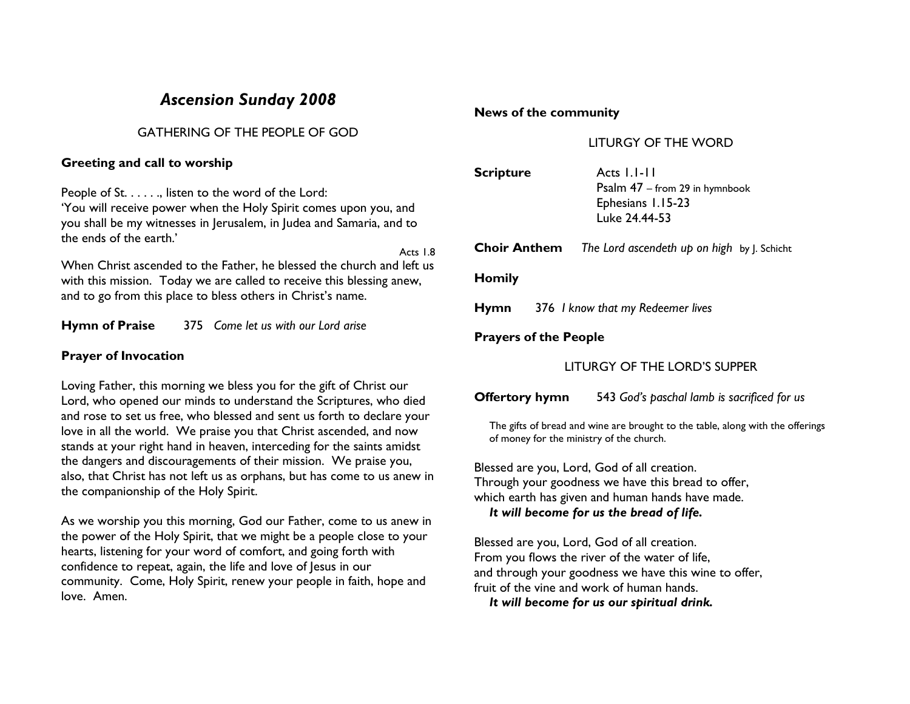# Ascension Sunday 2008

# GATHERING OF THE PEOPLE OF GOD

#### Greeting and call to worship

People of St. . . . . ., listen to the word of the Lord: 'You will receive power when the Holy Spirit comes upon you, and you shall be my witnesses in Jerusalem, in Judea and Samaria, and to the ends of the earth.'

Acts 1.8 When Christ ascended to the Father, he blessed the church and left us with this mission. Today we are called to receive this blessing anew, and to go from this place to bless others in Christ's name.

Hymn of Praise 375 Come let us with our Lord arise

## Prayer of Invocation

Loving Father, this morning we bless you for the gift of Christ our Lord, who opened our minds to understand the Scriptures, who died and rose to set us free, who blessed and sent us forth to declare your love in all the world. We praise you that Christ ascended, and now stands at your right hand in heaven, interceding for the saints amidst the dangers and discouragements of their mission. We praise you, also, that Christ has not left us as orphans, but has come to us anew in the companionship of the Holy Spirit.

As we worship you this morning, God our Father, come to us anew in the power of the Holy Spirit, that we might be a people close to your hearts, listening for your word of comfort, and going forth with confidence to repeat, again, the life and love of Jesus in our community. Come, Holy Spirit, renew your people in faith, hope and love. Amen.

#### News of the community

#### LITURGY OF THE WORD

| <b>Scripture</b>                          | Acts $1.1 - 11$<br><b>Psalm 47</b> – from 29 in hymnbook<br>Ephesians 1.15-23<br>Luke 24.44-53 |
|-------------------------------------------|------------------------------------------------------------------------------------------------|
| <b>Choir Anthem</b>                       | The Lord ascendeth up on high by J. Schicht                                                    |
| <b>Homily</b>                             |                                                                                                |
| 376 I know that my Redeemer lives<br>Hymn |                                                                                                |
| <b>Prayers of the People</b>              |                                                                                                |
|                                           |                                                                                                |

## LITURGY OF THE LORD'S SUPPER

**Offertory hymn** 543 God's paschal lamb is sacrificed for us

The gifts of bread and wine are brought to the table, along with the offerings of money for the ministry of the church.

Blessed are you, Lord, God of all creation. Through your goodness we have this bread to offer, which earth has given and human hands have made. It will become for us the bread of life.

Blessed are you, Lord, God of all creation. From you flows the river of the water of life, and through your goodness we have this wine to offer, fruit of the vine and work of human hands.

It will become for us our spiritual drink.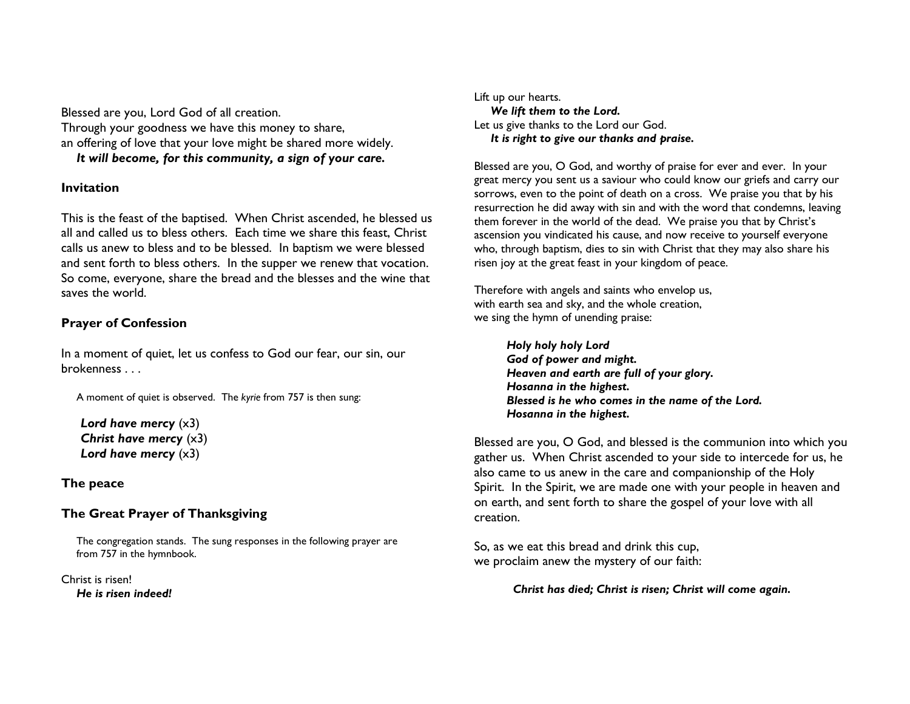Blessed are you, Lord God of all creation. Through your goodness we have this money to share, an offering of love that your love might be shared more widely. It will become, for this community, a sign of your care.

#### Invitation

This is the feast of the baptised. When Christ ascended, he blessed us all and called us to bless others. Each time we share this feast, Christ calls us anew to bless and to be blessed. In baptism we were blessed and sent forth to bless others. In the supper we renew that vocation. So come, everyone, share the bread and the blesses and the wine that saves the world.

## Prayer of Confession

In a moment of quiet, let us confess to God our fear, our sin, our brokenness . . .

A moment of quiet is observed. The kyrie from 757 is then sung:

Lord have mercy  $(x3)$  Christ have mercy (x3)Lord have mercy  $(x3)$ 

## The peace

# The Great Prayer of Thanksgiving

The congregation stands. The sung responses in the following prayer are from 757 in the hymnbook.

Christ is risen! He is risen indeed! Lift up our hearts. We lift them to the Lord. Let us give thanks to the Lord our God. It is right to give our thanks and praise.

Blessed are you, O God, and worthy of praise for ever and ever. In your great mercy you sent us a saviour who could know our griefs and carry our sorrows, even to the point of death on a cross. We praise you that by his resurrection he did away with sin and with the word that condemns, leaving them forever in the world of the dead. We praise you that by Christ's ascension you vindicated his cause, and now receive to yourself everyone who, through baptism, dies to sin with Christ that they may also share his risen joy at the great feast in your kingdom of peace.

Therefore with angels and saints who envelop us, with earth sea and sky, and the whole creation, we sing the hymn of unending praise:

Holy holy holy Lord God of power and might. Heaven and earth are full of your glory. Hosanna in the highest. Blessed is he who comes in the name of the Lord. Hosanna in the highest.

Blessed are you, O God, and blessed is the communion into which you gather us. When Christ ascended to your side to intercede for us, he also came to us anew in the care and companionship of the Holy Spirit. In the Spirit, we are made one with your people in heaven and on earth, and sent forth to share the gospel of your love with all creation.

So, as we eat this bread and drink this cup, we proclaim anew the mystery of our faith:

Christ has died; Christ is risen; Christ will come again.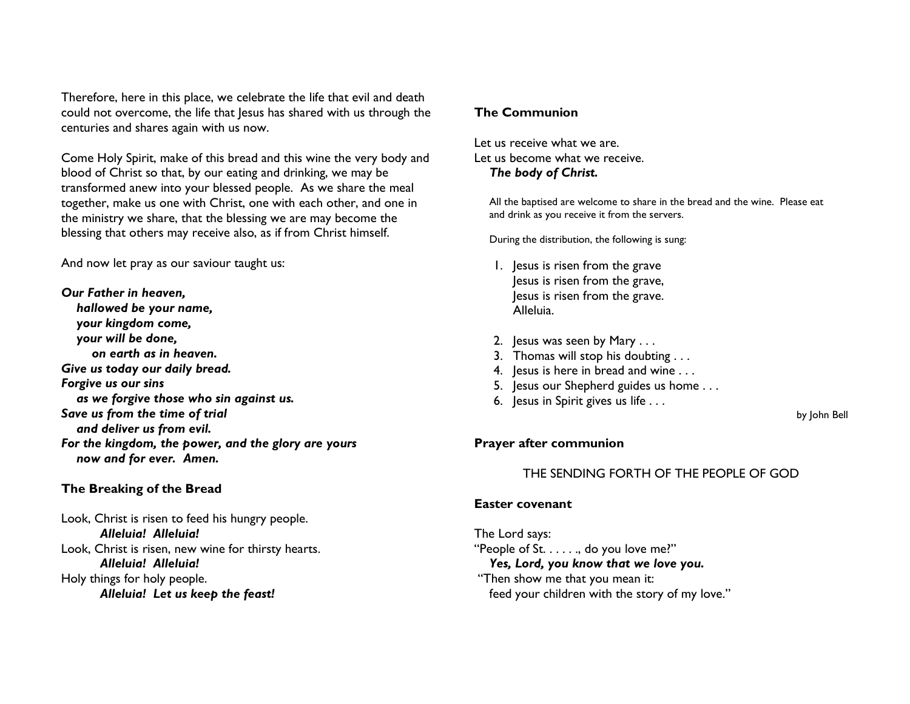Therefore, here in this place, we celebrate the life that evil and death could not overcome, the life that Jesus has shared with us through the centuries and shares again with us now.

Come Holy Spirit, make of this bread and this wine the very body and blood of Christ so that, by our eating and drinking, we may be transformed anew into your blessed people. As we share the meal together, make us one with Christ, one with each other, and one in the ministry we share, that the blessing we are may become the blessing that others may receive also, as if from Christ himself.

And now let pray as our saviour taught us:

Our Father in heaven, hallowed be your name, your kingdom come, your will be done, on earth as in heaven. Give us today our daily bread. Forgive us our sins as we forgive those who sin against us. Save us from the time of trial and deliver us from evil. For the kingdom, the power, and the glory are yoursnow and for ever. Amen.

## The Breaking of the Bread

Look, Christ is risen to feed his hungry people. Alleluia! Alleluia! Look, Christ is risen, new wine for thirsty hearts. Alleluia! Alleluia! Holy things for holy people. Alleluia! Let us keep the feast!

## The Communion

Let us receive what we are. Let us become what we receive. The body of Christ.

All the baptised are welcome to share in the bread and the wine. Please eat and drink as you receive it from the servers.

During the distribution, the following is sung:

- 1. Jesus is risen from the grave Jesus is risen from the grave, Jesus is risen from the grave. Alleluia.
- 2. Jesus was seen by Mary . . .
- 3. Thomas will stop his doubting . . .
- 4. Jesus is here in bread and wine . . .
- 5. Jesus our Shepherd guides us home . . .
- 6. Jesus in Spirit gives us life . . .

by John Bell

## Prayer after communion

# THE SENDING FORTH OF THE PEOPLE OF GOD

#### Easter covenant

The Lord says: "People of St. . . . . ., do you love me?" Yes, Lord, you know that we love you. "Then show me that you mean it: feed your children with the story of my love."